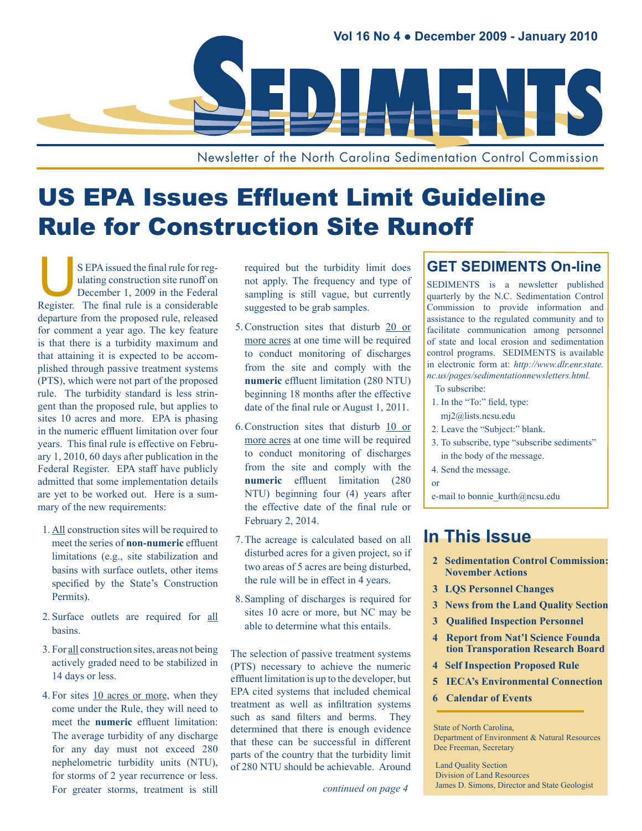

Newsletter of the North Carolina Sedimentation Control Commission

## US EPA Issues Effluent Limit Guideline Rule for Construction Site Runoff

S EPA issued the final rule for reg-<br>
ulating construction site runoff on<br>
December 1, 2009 in the Federal<br>
Register. The final rule is a considerable ulating construction site runoff on December 1, 2009 in the Federal departure from the proposed rule, released for comment a year ago. The key feature is that there is a turbidity maximum and that attaining it is expected to be accomplished through passive treatment systems (PTS), which were not part of the proposed rule. The turbidity standard is less stringent than the proposed rule, but applies to sites 10 acres and more. EPA is phasing in the numeric effluent limitation over four years. This final rule is effective on February 1, 2010, 60 days after publication in the Federal Register. EPA staff have publicly admitted that some implementation details are yet to be worked out. Here is a summary of the new requirements:

- 1. All construction sites will be required to meet the series of **non-numeric** effluent limitations (e.g., site stabilization and basins with surface outlets, other items specified by the State's Construction Permits).
- 2. Surface outlets are required for all basins.
- 3. For all construction sites, areas not being actively graded need to be stabilized in 14 days or less.
- 4. For sites 10 acres or more, when they come under the Rule, they will need to meet the **numeric** effluent limitation: The average turbidity of any discharge for any day must not exceed 280 nephelometric turbidity units (NTU), for storms of 2 year recurrence or less. For greater storms, treatment is still

required but the turbidity limit does not apply. The frequency and type of sampling is still vague, but currently suggested to be grab samples.

- 5.Construction sites that disturb 20 or more acres at one time will be required to conduct monitoring of discharges from the site and comply with the **numeric** effluent limitation (280 NTU) beginning 18 months after the effective date of the final rule or August 1, 2011.
- 6.Construction sites that disturb 10 or more acres at one time will be required to conduct monitoring of discharges from the site and comply with the **numeric** effluent limitation (280 NTU) beginning four (4) years after the effective date of the final rule or February 2, 2014.
- 7.The acreage is calculated based on all disturbed acres for a given project, so if two areas of 5 acres are being disturbed, the rule will be in effect in 4 years.
- 8. Sampling of discharges is required for sites 10 acre or more, but NC may be able to determine what this entails.

The selection of passive treatment systems (PTS) necessary to achieve the numeric effluent limitation is up to the developer, but EPA cited systems that included chemical treatment as well as infiltration systems such as sand filters and berms. They determined that there is enough evidence that these can be successful in different parts of the country that the turbidity limit of 280 NTU should be achievable. Around

*continued on page 4*

#### **GET SEDIMENTS On-line**

SEDIMENTS is a newsletter published quarterly by the N.C. Sedimentation Control Commission to provide information and assistance to the regulated community and to facilitate communication among personnel of state and local erosion and sedimentation control programs. SEDIMENTS is available in electronic form at: *[http://www.dlr.enr.state.](http://www.dlr.enr.state.nc.us/pages/sedimentationnewsletters.html) [nc.us/pages/sedimentationnewsletters.html.](http://www.dlr.enr.state.nc.us/pages/sedimentationnewsletters.html)*

To subscribe:

- 1. In the "To:" field, type:
- mj2@lists.ncsu.edu
- 2. Leave the "Subject:" blank.
- 3. To subscribe, type "subscribe sediments" in the body of the message.
- 4. Send the message.
- or

e-mail to bonnie\_kurth@ncsu.edu

### **In This Issue**

- **2 [Sedimentation Control Commission:](#page-1-0)  [November Actions](#page-1-0)**
- **3 [LQS Personnel Changes](#page-1-0)**
- **3 [News from the Land Quality Section](#page-1-0)**
- **3 [Qualified](#page-2-0) Inspection Personnel**
- **[4 Report](#page-2-0) from Nat'l Science Founda tion [Transporation](#page-2-0) Research Board**
- **4 Self [Inspection](#page-2-0) Proposed Rule**
- **5 IECA's [Environmental](#page-4-0) Connection**
- **[6 Calendar](#page-5-0) of Events**

Land Quality Section Division of Land Resources James D. Simons, Director and State Geologist

State of North Carolina,

Department of Environment & Natural Resources Dee Freeman, Secretary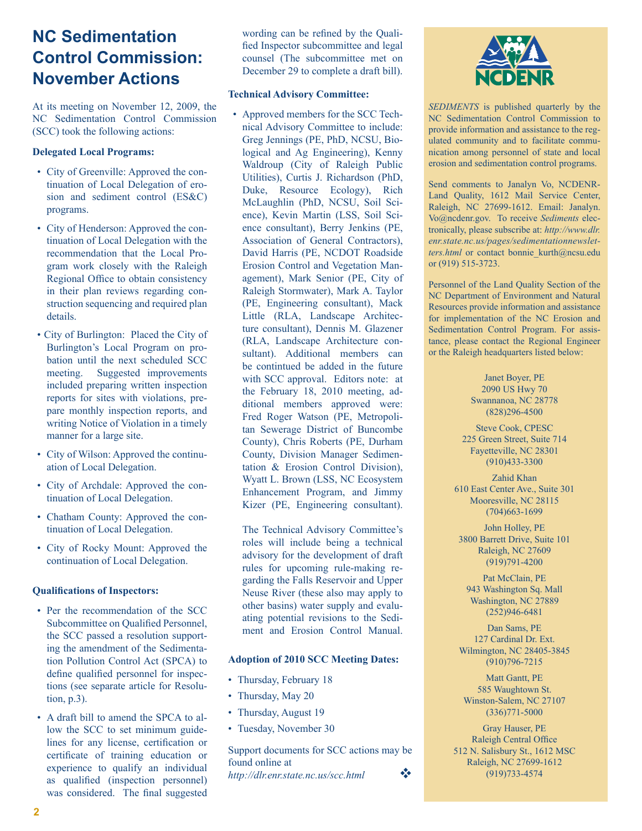## <span id="page-1-0"></span>**NC Sedimentation Control Commission: November Actions**

At its meeting on November 12, 2009, the NC Sedimentation Control Commission (SCC) took the following actions:

#### **Delegated Local Programs:**

- City of Greenville: Approved the continuation of Local Delegation of erosion and sediment control (ES&C) programs.
- City of Henderson: Approved the continuation of Local Delegation with the recommendation that the Local Program work closely with the Raleigh Regional Office to obtain consistency in their plan reviews regarding construction sequencing and required plan details.
- City of Burlington: Placed the City of Burlington's Local Program on probation until the next scheduled SCC meeting. Suggested improvements included preparing written inspection reports for sites with violations, prepare monthly inspection reports, and writing Notice of Violation in a timely manner for a large site.
- City of Wilson: Approved the continuation of Local Delegation.
- City of Archdale: Approved the continuation of Local Delegation.
- Chatham County: Approved the continuation of Local Delegation.
- City of Rocky Mount: Approved the continuation of Local Delegation.

#### **Qualifications of Inspectors:**

- Per the recommendation of the SCC Subcommittee on Qualified Personnel, the SCC passed a resolution supporting the amendment of the Sedimentation Pollution Control Act (SPCA) to define qualified personnel for inspections (see separate article for Resolution, p.3).
- A draft bill to amend the SPCA to allow the SCC to set minimum guidelines for any license, certification or certificate of training education or experience to qualify an individual as qualified (inspection personnel) was considered. The final suggested

wording can be refined by the Qualified Inspector subcommittee and legal counsel (The subcommittee met on December 29 to complete a draft bill).

#### **Technical Advisory Committee:**

• Approved members for the SCC Technical Advisory Committee to include: Greg Jennings (PE, PhD, NCSU, Biological and Ag Engineering), Kenny Waldroup (City of Raleigh Public Utilities), Curtis J. Richardson (PhD, Duke, Resource Ecology), Rich McLaughlin (PhD, NCSU, Soil Science), Kevin Martin (LSS, Soil Science consultant), Berry Jenkins (PE, Association of General Contractors), David Harris (PE, NCDOT Roadside Erosion Control and Vegetation Management), Mark Senior (PE, City of Raleigh Stormwater), Mark A. Taylor (PE, Engineering consultant), Mack Little (RLA, Landscape Architecture consultant), Dennis M. Glazener (RLA, Landscape Architecture consultant). Additional members can be contintued be added in the future with SCC approval. Editors note: at the February 18, 2010 meeting, additional members approved were: Fred Roger Watson (PE, Metropolitan Sewerage District of Buncombe County), Chris Roberts (PE, Durham County, Division Manager Sedimentation & Erosion Control Division), Wyatt L. Brown (LSS, NC Ecosystem Enhancement Program, and Jimmy Kizer (PE, Engineering consultant).

The Technical Advisory Committee's roles will include being a technical advisory for the development of draft rules for upcoming rule-making regarding the Falls Reservoir and Upper Neuse River (these also may apply to other basins) water supply and evaluating potential revisions to the Sediment and Erosion Control Manual.

#### **Adoption of 2010 SCC Meeting Dates:**

- Thursday, February 18
- Thursday, May 20
- Thursday, August 19
- Tuesday, November 30

Support documents for SCC actions may be found online at *<http://dlr.enr.state.nc.us/scc.html>*v



*SEDIMENTS* is published quarterly by the NC Sedimentation Control Commission to provide information and assistance to the regulated community and to facilitate communication among personnel of state and local erosion and sedimentation control programs.

Send comments to Janalyn Vo, NCDENR-Land Quality, 1612 Mail Service Center, Raleigh, NC 27699-1612. Email: Janalyn. Vo@ncdenr.gov. To receive *Sediments* electronically, please subscribe at: *[http://www.dlr.](http://www.dlr.enr.state.nc.us/pages/sedimentationnewsletters.html) [enr.state.nc.us/pages/sedimentationnewslet](http://www.dlr.enr.state.nc.us/pages/sedimentationnewsletters.html)*[ters.html](http://www.dlr.enr.state.nc.us/pages/sedimentationnewsletters.html) or contact bonnie kurth@ncsu.edu or (919) 515-3723.

Personnel of the Land Quality Section of the NC Department of Environment and Natural Resources provide information and assistance for implementation of the NC Erosion and Sedimentation Control Program. For assistance, please contact the Regional Engineer or the Raleigh headquarters listed below:

> Janet Boyer, PE 2090 US Hwy 70 Swannanoa, NC 28778 (828)296-4500

Steve Cook, CPESC 225 Green Street, Suite 714 Fayetteville, NC 28301 (910)433-3300

Zahid Khan 610 East Center Ave., Suite 301 Mooresville, NC 28115 (704)663-1699

John Holley, PE 3800 Barrett Drive, Suite 101 Raleigh, NC 27609 (919)791-4200

Pat McClain, PE 943 Washington Sq. Mall Washington, NC 27889 (252)946-6481

Dan Sams, PE 127 Cardinal Dr. Ext. Wilmington, NC 28405-3845 (910)796-7215

Matt Gantt, PE 585 Waughtown St. Winston-Salem, NC 27107 (336)771-5000

Gray Hauser, PE Raleigh Central Office 512 N. Salisbury St., 1612 MSC Raleigh, NC 27699-1612 (919)733-4574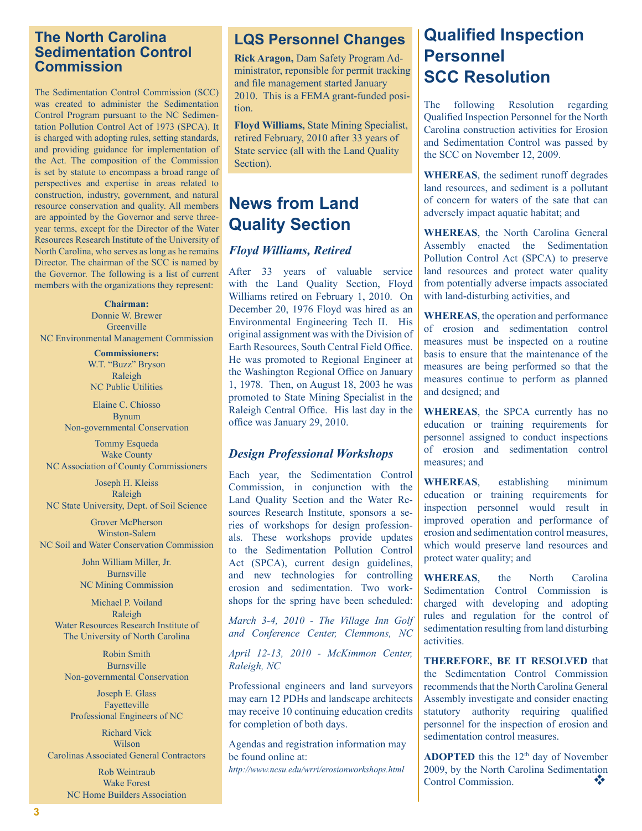#### <span id="page-2-0"></span>**The North Carolina Sedimentation Control Commission**

The Sedimentation Control Commission (SCC) was created to administer the Sedimentation Control Program pursuant to the NC Sedimentation Pollution Control Act of 1973 (SPCA). It is charged with adopting rules, setting standards, and providing guidance for implementation of the Act. The composition of the Commission is set by statute to encompass a broad range of perspectives and expertise in areas related to construction, industry, government, and natural resource conservation and quality. All members are appointed by the Governor and serve threeyear terms, except for the Director of the Water Resources Research Institute of the University of North Carolina, who serves as long as he remains Director. The chairman of the SCC is named by the Governor. The following is a list of current members with the organizations they represent:

**Chairman:** Donnie W. Brewer **Greenville** NC Environmental Management Commission

> **Commissioners:** W.T. "Buzz" Bryson Raleigh NC Public Utilities

Elaine C. Chiosso Bynum Non-governmental Conservation

Tommy Esqueda Wake County NC Association of County Commissioners

Joseph H. Kleiss Raleigh NC State University, Dept. of Soil Science

Grover McPherson Winston-Salem NC Soil and Water Conservation Commission

> John William Miller, Jr. Burnsville NC Mining Commission

Michael P. Voiland Raleigh Water Resources Research Institute of The University of North Carolina

Robin Smith Burnsville Non-governmental Conservation

Joseph E. Glass Fayetteville Professional Engineers of NC

Richard Vick Wilson Carolinas Associated General Contractors

> Rob Weintraub Wake Forest NC Home Builders Association

## **LQS Personnel Changes**

**Rick Aragon,** Dam Safety Program Administrator, reponsible for permit tracking and file management started January 2010. This is a FEMA grant-funded position.

**Floyd Williams,** State Mining Specialist, retired February, 2010 after 33 years of State service (all with the Land Quality Section).

## **News from Land Quality Section**

#### *Floyd Williams, Retired*

After 33 years of valuable service with the Land Quality Section, Floyd Williams retired on February 1, 2010. On December 20, 1976 Floyd was hired as an Environmental Engineering Tech II. His original assignment was with the Division of Earth Resources, South Central Field Office. He was promoted to Regional Engineer at the Washington Regional Office on January 1, 1978. Then, on August 18, 2003 he was promoted to State Mining Specialist in the Raleigh Central Office. His last day in the office was January 29, 2010.

#### *Design Professional Workshops*

Each year, the Sedimentation Control Commission, in conjunction with the Land Quality Section and the Water Resources Research Institute, sponsors a series of workshops for design professionals. These workshops provide updates to the Sedimentation Pollution Control Act (SPCA), current design guidelines, and new technologies for controlling erosion and sedimentation. Two workshops for the spring have been scheduled:

*March 3-4, 2010 - The Village Inn Golf and Conference Center, Clemmons, NC*

*April 12-13, 2010 - McKimmon Center, Raleigh, NC*

Professional engineers and land surveyors may earn 12 PDHs and landscape architects may receive 10 continuing education credits for completion of both days.

Agendas and registration information may be found online at:

*<http://www.ncsu.edu/wrri/erosionworkshops.html>*

## **Qualified Inspection Personnel SCC Resolution**

The following Resolution regarding Qualified Inspection Personnel for the North Carolina construction activities for Erosion and Sedimentation Control was passed by the SCC on November 12, 2009.

**WHEREAS**, the sediment runoff degrades land resources, and sediment is a pollutant of concern for waters of the sate that can adversely impact aquatic habitat; and

**WHEREAS**, the North Carolina General Assembly enacted the Sedimentation Pollution Control Act (SPCA) to preserve land resources and protect water quality from potentially adverse impacts associated with land-disturbing activities, and

**WHEREAS**, the operation and performance of erosion and sedimentation control measures must be inspected on a routine basis to ensure that the maintenance of the measures are being performed so that the measures continue to perform as planned and designed; and

**WHEREAS**, the SPCA currently has no education or training requirements for personnel assigned to conduct inspections of erosion and sedimentation control measures; and

**WHEREAS**, establishing minimum education or training requirements for inspection personnel would result in improved operation and performance of erosion and sedimentation control measures, which would preserve land resources and protect water quality; and

**WHEREAS**, the North Carolina Sedimentation Control Commission is charged with developing and adopting rules and regulation for the control of sedimentation resulting from land disturbing activities.

**THEREFORE, BE IT RESOLVED** that the Sedimentation Control Commission recommends that the North Carolina General Assembly investigate and consider enacting statutory authority requiring qualified personnel for the inspection of erosion and sedimentation control measures.

**ADOPTED** this the  $12<sup>th</sup>$  day of November 2009, by the North Carolina Sedimentation<br>Control Commission Control Commission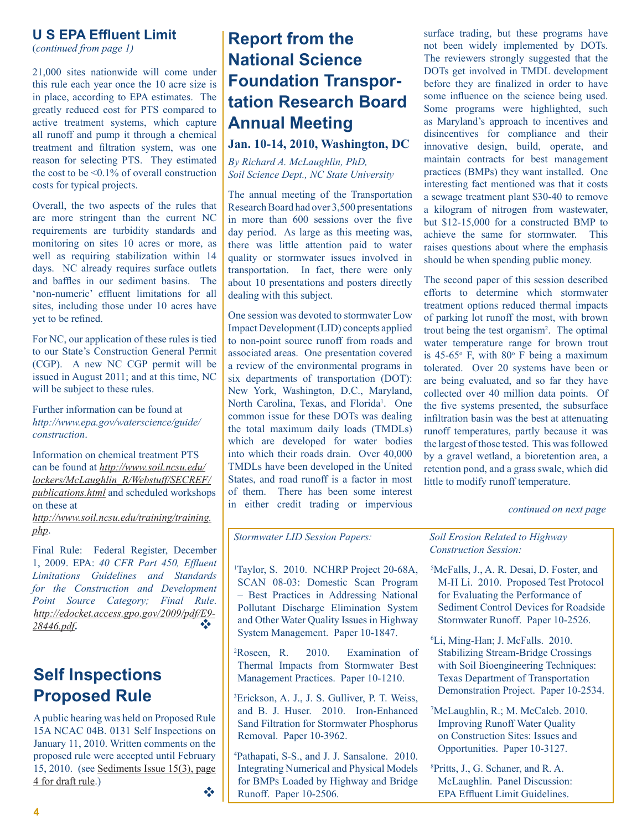#### **U S EPA Effluent Limit**

(*continued from page 1)*

21,000 sites nationwide will come under this rule each year once the 10 acre size is in place, according to EPA estimates. The greatly reduced cost for PTS compared to active treatment systems, which capture all runoff and pump it through a chemical treatment and filtration system, was one reason for selecting PTS. They estimated the cost to be <0.1% of overall construction costs for typical projects.

Overall, the two aspects of the rules that are more stringent than the current NC requirements are turbidity standards and monitoring on sites 10 acres or more, as well as requiring stabilization within 14 days. NC already requires surface outlets and baffles in our sediment basins. The 'non-numeric' effluent limitations for all sites, including those under 10 acres have yet to be refined.

For NC, our application of these rules is tied to our State's Construction General Permit (CGP). A new NC CGP permit will be issued in August 2011; and at this time, NC will be subject to these rules.

Further information can be found at *[http://www.epa.gov/waterscience/guide/](http://www.epa.gov/waterscience/guide/construction) [construction](http://www.epa.gov/waterscience/guide/construction)*.

Information on chemical treatment PTS can be found at *[http://www.soil.ncsu.edu/](http://www.soil.ncsu.edu/lockers/McLaughlin_R/Webstuff/SECREF/publications.html) [lockers/McLaughlin\\_R/Webstuff/SECREF/](http://www.soil.ncsu.edu/lockers/McLaughlin_R/Webstuff/SECREF/publications.html) [publications.html](http://www.soil.ncsu.edu/lockers/McLaughlin_R/Webstuff/SECREF/publications.html)* and scheduled workshops on these at

*[http://www.soil.ncsu.edu/training/training.](http://www.soil.ncsu.edu/training/training.php) [php](http://www.soil.ncsu.edu/training/training.php)*.

Final Rule: Federal Register, December 1, 2009. EPA: *40 CFR Part 450, Effluent Limitations Guidelines and Standards for the Construction and Development Point Source Category; Final Rule*. *[http://edocket.access.gpo.gov/2009/pdf/E9-](http://edocket.access.gpo.gov/2009/pdf/E9-28446.pdf) [28446.pdf](http://edocket.access.gpo.gov/2009/pdf/E9-28446.pdf)***.** v

## **Self Inspections Proposed Rule**

A public hearing was held on Proposed Rule 15A NCAC 04B. 0131 Self Inspections on January 11, 2010. Written comments on the proposed rule were accepted until February 15, 2010. (see [Sediments Issue 15\(3\), page](http://www.dlr.enr.state.nc.us/images/2008%20Volume%2015%20No%203%20July%20September%202008.pdf)  [4 for draft rule](http://www.dlr.enr.state.nc.us/images/2008%20Volume%2015%20No%203%20July%20September%202008.pdf).)  $\overline{\phantom{a}}$  values of  $\phi$ 

## **Report from the National Science Foundation Transportation Research Board Annual Meeting**

#### **Jan. 10-14, 2010, Washington, DC**

*By Richard A. McLaughlin, PhD, Soil Science Dept., NC State University*

The annual meeting of the Transportation Research Board had over 3,500 presentations in more than 600 sessions over the five day period. As large as this meeting was, there was little attention paid to water quality or stormwater issues involved in transportation. In fact, there were only about 10 presentations and posters directly dealing with this subject.

One session was devoted to stormwater Low Impact Development (LID) concepts applied to non-point source runoff from roads and associated areas. One presentation covered a review of the environmental programs in six departments of transportation (DOT): New York, Washington, D.C., Maryland, North Carolina, Texas, and Florida<sup>1</sup>. One common issue for these DOTs was dealing the total maximum daily loads (TMDLs) which are developed for water bodies into which their roads drain. Over 40,000 TMDLs have been developed in the United States, and road runoff is a factor in most of them. There has been some interest in either credit trading or impervious *continued on next page*

surface trading, but these programs have not been widely implemented by DOTs. The reviewers strongly suggested that the DOTs get involved in TMDL development before they are finalized in order to have some influence on the science being used. Some programs were highlighted, such as Maryland's approach to incentives and disincentives for compliance and their innovative design, build, operate, and maintain contracts for best management practices (BMPs) they want installed. One interesting fact mentioned was that it costs a sewage treatment plant \$30-40 to remove a kilogram of nitrogen from wastewater, but \$12-15,000 for a constructed BMP to achieve the same for stormwater. This raises questions about where the emphasis should be when spending public money.

The second paper of this session described efforts to determine which stormwater treatment options reduced thermal impacts of parking lot runoff the most, with brown trout being the test organism2 . The optimal water temperature range for brown trout is  $45-65$ ° F, with  $80$ ° F being a maximum tolerated. Over 20 systems have been or are being evaluated, and so far they have collected over 40 million data points. Of the five systems presented, the subsurface infiltration basin was the best at attenuating runoff temperatures, partly because it was the largest of those tested. This was followed by a gravel wetland, a bioretention area, a retention pond, and a grass swale, which did little to modify runoff temperature.

*Stormwater LID Session Papers:*

1 Taylor, S. 2010. NCHRP Project 20-68A, SCAN 08-03: Domestic Scan Program – Best Practices in Addressing National Pollutant Discharge Elimination System and Other Water Quality Issues in Highway System Management. Paper 10-1847.

 ${}^{2}Roseen$ , R. 2010. Examination of Thermal Impacts from Stormwater Best Management Practices. Paper 10-1210.

3 Erickson, A. J., J. S. Gulliver, P. T. Weiss, and B. J. Huser. 2010. Iron-Enhanced Sand Filtration for Stormwater Phosphorus Removal. Paper 10-3962.

4 Pathapati, S-S., and J. J. Sansalone. 2010. Integrating Numerical and Physical Models for BMPs Loaded by Highway and Bridge Runoff. Paper 10-2506.

*Soil Erosion Related to Highway Construction Session:*

- 5 McFalls, J., A. R. Desai, D. Foster, and M-H Li. 2010. Proposed Test Protocol for Evaluating the Performance of Sediment Control Devices for Roadside Stormwater Runoff. Paper 10-2526.
- 6 Li, Ming-Han; J. McFalls. 2010. Stabilizing Stream-Bridge Crossings with Soil Bioengineering Techniques: Texas Department of Transportation Demonstration Project. Paper 10-2534.
- 7 McLaughlin, R.; M. McCaleb. 2010. Improving Runoff Water Quality on Construction Sites: Issues and Opportunities. Paper 10-3127.
- 8 Pritts, J., G. Schaner, and R. A. McLaughlin. Panel Discussion: EPA Effluent Limit Guidelines.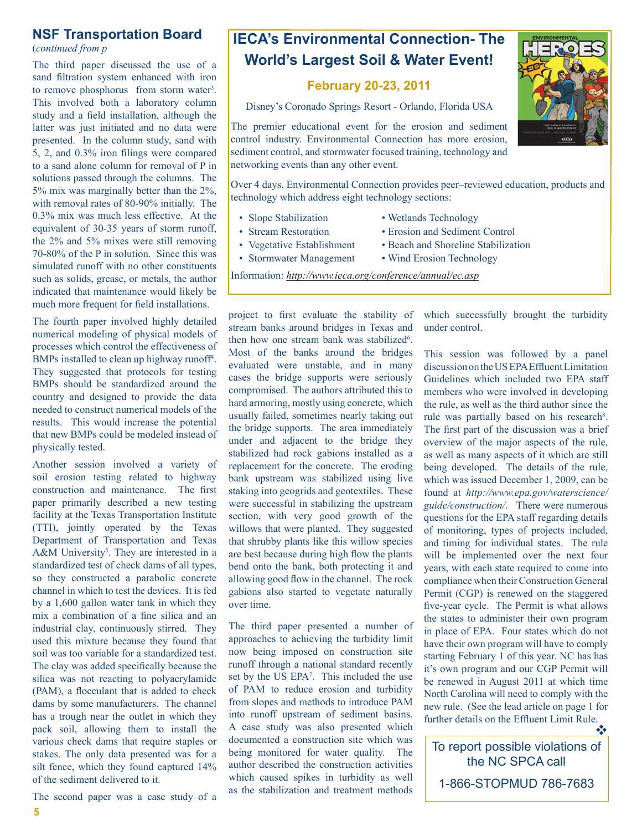#### <span id="page-4-0"></span>**NSF Transportation Board**

(*continued from p*

The third paper discussed the use of a sand filtration system enhanced with iron to remove phosphorus from storm water<sup>3</sup>. This involved both a laboratory column study and a field installation, although the latter was just initiated and no data were presented. In the column study, sand with 5, 2, and 0.3% iron filings were compared to a sand alone column for removal of P in solutions passed through the columns. The 5% mix was marginally better than the 2%, with removal rates of 80-90% initially. The 0.3% mix was much less effective. At the equivalent of 30-35 years of storm runoff, the 2% and 5% mixes were still removing 70-80% of the P in solution. Since this was simulated runoff with no other constituents such as solids, grease, or metals, the author indicated that maintenance would likely be much more frequent for field installations.

The fourth paper involved highly detailed numerical modeling of physical models of processes which control the effectiveness of BMPs installed to clean up highway runoff<sup>4</sup>. They suggested that protocols for testing BMPs should be standardized around the country and designed to provide the data needed to construct numerical models of the results. This would increase the potential that new BMPs could be modeled instead of physically tested.

Another session involved a variety of soil erosion testing related to highway construction and maintenance. The first paper primarily described a new testing facility at the Texas Transportation Institute (TTI), jointly operated by the Texas Department of Transportation and Texas A&M University<sup>5</sup>. They are interested in a standardized test of check dams of all types, so they constructed a parabolic concrete channel in which to test the devices. It is fed by a 1,600 gallon water tank in which they mix a combination of a fine silica and an industrial clay, continuously stirred. They used this mixture because they found that soil was too variable for a standardized test. The clay was added specifically because the silica was not reacting to polyacrylamide (PAM), a flocculant that is added to check dams by some manufacturers. The channel has a trough near the outlet in which they pack soil, allowing them to install the various check dams that require staples or stakes. The only data presented was for a silt fence, which they found captured 14% of the sediment delivered to it.

The second paper was a case study of a



#### **February 20-23, 2011**

Disney's Coronado Springs Resort - Orlando, Florida USA

The premier educational event for the erosion and sediment control industry. Environmental Connection has more erosion, sediment control, and stormwater focused training, technology and networking events than any other event.

Over 4 days, Environmental Connection provides peer–reviewed education, products and technology which address eight technology sections:

- 
- 
- 
- Stormwater Management Wind Erosion Technology
- Slope Stabilization Wetlands Technology
- Stream Restoration Erosion and Sediment Control
- Vegetative Establishment Beach and Shoreline Stabilization
	-

Information: *<http://www.ieca.org/conference/annual/ec.asp>*

project to first evaluate the stability of stream banks around bridges in Texas and then how one stream bank was stabilized<sup>6</sup>. Most of the banks around the bridges evaluated were unstable, and in many cases the bridge supports were seriously compromised. The authors attributed this to hard armoring, mostly using concrete, which usually failed, sometimes nearly taking out the bridge supports. The area immediately under and adjacent to the bridge they stabilized had rock gabions installed as a replacement for the concrete. The eroding bank upstream was stabilized using live staking into geogrids and geotextiles. These were successful in stabilizing the upstream section, with very good growth of the willows that were planted. They suggested that shrubby plants like this willow species are best because during high flow the plants bend onto the bank, both protecting it and allowing good flow in the channel. The rock gabions also started to vegetate naturally over time.

The third paper presented a number of approaches to achieving the turbidity limit now being imposed on construction site runoff through a national standard recently set by the US EPA<sup>7</sup>. This included the use of PAM to reduce erosion and turbidity from slopes and methods to introduce PAM into runoff upstream of sediment basins. A case study was also presented which documented a construction site which was being monitored for water quality. The author described the construction activities which caused spikes in turbidity as well as the stabilization and treatment methods

which successfully brought the turbidity under control.

This session was followed by a panel discussion on the US EPA Effluent Limitation Guidelines which included two EPA staff members who were involved in developing the rule, as well as the third author since the rule was partially based on his research<sup>8</sup>. The first part of the discussion was a brief overview of the major aspects of the rule, as well as many aspects of it which are still being developed. The details of the rule, which was issued December 1, 2009, can be found at *http://www.epa.gov/waterscience/ guide/construction/*. There were numerous questions for the EPA staff regarding details of monitoring, types of projects included, and timing for individual states. The rule will be implemented over the next four years, with each state required to come into compliance when their Construction General Permit (CGP) is renewed on the staggered five-year cycle. The Permit is what allows the states to administer their own program in place of EPA. Four states which do not have their own program will have to comply starting February 1 of this year. NC has has it's own program and our CGP Permit will be renewed in August 2011 at which time North Carolina will need to comply with the new rule. (See the lead article on page 1 for further details on the Effluent Limit Rule.  $\mathbf{v}_i$ 

To report possible violations of the NC SPCA call

1-866-STOPMUD 786-7683